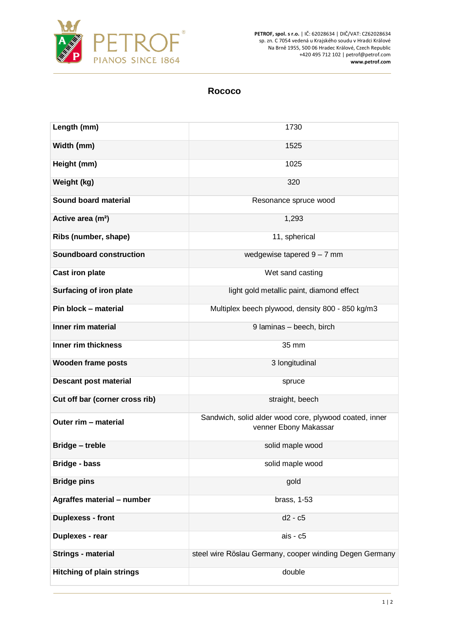

**PETROF, spol. s r.o.** | IČ: 62028634 | DIČ/VAT: CZ62028634 sp. zn. C 7054 vedená u Krajského soudu v Hradci Králové Na Brně 1955, 500 06 Hradec Králové, Czech Republic +420 495 712 102 | petrof@petrof.com **www.petrof.com**

## **Rococo**

| Length (mm)                      | 1730                                                                            |
|----------------------------------|---------------------------------------------------------------------------------|
| Width (mm)                       | 1525                                                                            |
| Height (mm)                      | 1025                                                                            |
| Weight (kg)                      | 320                                                                             |
| Sound board material             | Resonance spruce wood                                                           |
| Active area (m <sup>2</sup> )    | 1,293                                                                           |
| Ribs (number, shape)             | 11, spherical                                                                   |
| <b>Soundboard construction</b>   | wedgewise tapered $9 - 7$ mm                                                    |
| <b>Cast iron plate</b>           | Wet sand casting                                                                |
| <b>Surfacing of iron plate</b>   | light gold metallic paint, diamond effect                                       |
| Pin block - material             | Multiplex beech plywood, density 800 - 850 kg/m3                                |
| Inner rim material               | 9 Iaminas - beech, birch                                                        |
| Inner rim thickness              | 35 mm                                                                           |
| <b>Wooden frame posts</b>        | 3 longitudinal                                                                  |
| <b>Descant post material</b>     | spruce                                                                          |
| Cut off bar (corner cross rib)   | straight, beech                                                                 |
| Outer rim - material             | Sandwich, solid alder wood core, plywood coated, inner<br>venner Ebony Makassar |
| <b>Bridge - treble</b>           | solid maple wood                                                                |
| <b>Bridge - bass</b>             | solid maple wood                                                                |
| <b>Bridge pins</b>               | gold                                                                            |
| Agraffes material - number       | brass, 1-53                                                                     |
| <b>Duplexess - front</b>         | $d2 - c5$                                                                       |
| Duplexes - rear                  | ais - c5                                                                        |
| <b>Strings - material</b>        | steel wire Röslau Germany, cooper winding Degen Germany                         |
| <b>Hitching of plain strings</b> | double                                                                          |